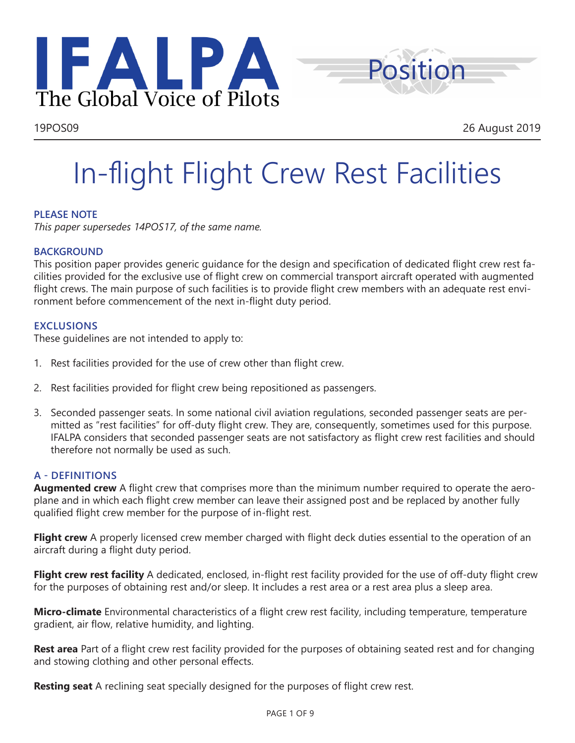



# In-flight Flight Crew Rest Facilities

# **PLEASE NOTE**

*This paper supersedes 14POS17, of the same name.* 

#### **BACKGROUND**

This position paper provides generic guidance for the design and specification of dedicated flight crew rest facilities provided for the exclusive use of flight crew on commercial transport aircraft operated with augmented flight crews. The main purpose of such facilities is to provide flight crew members with an adequate rest environment before commencement of the next in-flight duty period.

### **EXCLUSIONS**

These guidelines are not intended to apply to:

- 1. Rest facilities provided for the use of crew other than flight crew.
- 2. Rest facilities provided for flight crew being repositioned as passengers.
- 3. Seconded passenger seats. In some national civil aviation regulations, seconded passenger seats are permitted as "rest facilities" for off-duty flight crew. They are, consequently, sometimes used for this purpose. IFALPA considers that seconded passenger seats are not satisfactory as flight crew rest facilities and should therefore not normally be used as such.

#### **A - DEFINITIONS**

**Augmented crew** A flight crew that comprises more than the minimum number required to operate the aeroplane and in which each flight crew member can leave their assigned post and be replaced by another fully qualified flight crew member for the purpose of in-flight rest.

**Flight crew** A properly licensed crew member charged with flight deck duties essential to the operation of an aircraft during a flight duty period.

**Flight crew rest facility** A dedicated, enclosed, in-flight rest facility provided for the use of off-duty flight crew for the purposes of obtaining rest and/or sleep. It includes a rest area or a rest area plus a sleep area.

**Micro-climate** Environmental characteristics of a flight crew rest facility, including temperature, temperature gradient, air flow, relative humidity, and lighting.

**Rest area** Part of a flight crew rest facility provided for the purposes of obtaining seated rest and for changing and stowing clothing and other personal effects.

**Resting seat** A reclining seat specially designed for the purposes of flight crew rest.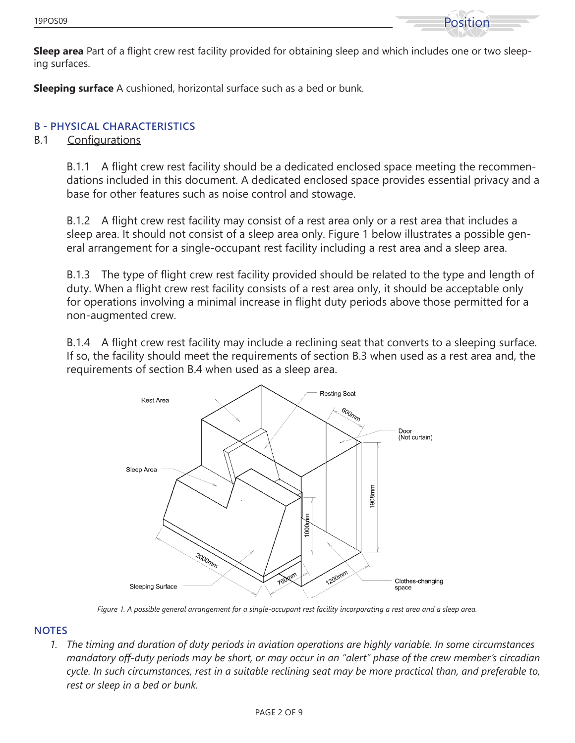

**Sleep area** Part of a flight crew rest facility provided for obtaining sleep and which includes one or two sleeping surfaces.

**Sleeping surface** A cushioned, horizontal surface such as a bed or bunk.

# **B - PHYSICAL CHARACTERISTICS**

### B.1 Configurations

B.1.1 A flight crew rest facility should be a dedicated enclosed space meeting the recommendations included in this document. A dedicated enclosed space provides essential privacy and a base for other features such as noise control and stowage.

B.1.2 A flight crew rest facility may consist of a rest area only or a rest area that includes a sleep area. It should not consist of a sleep area only. Figure 1 below illustrates a possible general arrangement for a single-occupant rest facility including a rest area and a sleep area.

B.1.3 The type of flight crew rest facility provided should be related to the type and length of duty. When a flight crew rest facility consists of a rest area only, it should be acceptable only for operations involving a minimal increase in flight duty periods above those permitted for a non-augmented crew.

B.1.4 A flight crew rest facility may include a reclining seat that converts to a sleeping surface. If so, the facility should meet the requirements of section B.3 when used as a rest area and, the requirements of section B.4 when used as a sleep area.



*Figure 1. A possible general arrangement for a single-occupant rest facility incorporating a rest area and a sleep area.*

#### **NOTES**

*1. The timing and duration of duty periods in aviation operations are highly variable. In some circumstances mandatory off-duty periods may be short, or may occur in an "alert" phase of the crew member's circadian cycle. In such circumstances, rest in a suitable reclining seat may be more practical than, and preferable to, rest or sleep in a bed or bunk.*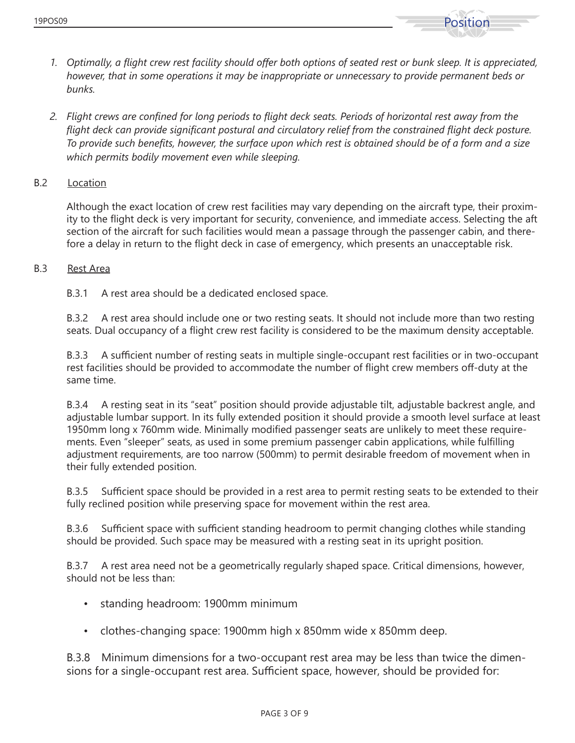

- *1. Optimally, a flight crew rest facility should offer both options of seated rest or bunk sleep. It is appreciated, however, that in some operations it may be inappropriate or unnecessary to provide permanent beds or bunks.*
- *2. Flight crews are confined for long periods to flight deck seats. Periods of horizontal rest away from the flight deck can provide significant postural and circulatory relief from the constrained flight deck posture. To provide such benefits, however, the surface upon which rest is obtained should be of a form and a size which permits bodily movement even while sleeping.*

#### B.2 Location

Although the exact location of crew rest facilities may vary depending on the aircraft type, their proximity to the flight deck is very important for security, convenience, and immediate access. Selecting the aft section of the aircraft for such facilities would mean a passage through the passenger cabin, and therefore a delay in return to the flight deck in case of emergency, which presents an unacceptable risk.

#### B.3 Rest Area

B.3.1 A rest area should be a dedicated enclosed space.

B.3.2 A rest area should include one or two resting seats. It should not include more than two resting seats. Dual occupancy of a flight crew rest facility is considered to be the maximum density acceptable.

B.3.3 A sufficient number of resting seats in multiple single-occupant rest facilities or in two-occupant rest facilities should be provided to accommodate the number of flight crew members off-duty at the same time.

B.3.4 A resting seat in its "seat" position should provide adjustable tilt, adjustable backrest angle, and adjustable lumbar support. In its fully extended position it should provide a smooth level surface at least 1950mm long x 760mm wide. Minimally modified passenger seats are unlikely to meet these requirements. Even "sleeper" seats, as used in some premium passenger cabin applications, while fulfilling adjustment requirements, are too narrow (500mm) to permit desirable freedom of movement when in their fully extended position.

B.3.5 Sufficient space should be provided in a rest area to permit resting seats to be extended to their fully reclined position while preserving space for movement within the rest area.

B.3.6 Sufficient space with sufficient standing headroom to permit changing clothes while standing should be provided. Such space may be measured with a resting seat in its upright position.

B.3.7 A rest area need not be a geometrically regularly shaped space. Critical dimensions, however, should not be less than:

- standing headroom: 1900mm minimum
- clothes-changing space: 1900mm high x 850mm wide x 850mm deep.

B.3.8 Minimum dimensions for a two-occupant rest area may be less than twice the dimensions for a single-occupant rest area. Sufficient space, however, should be provided for: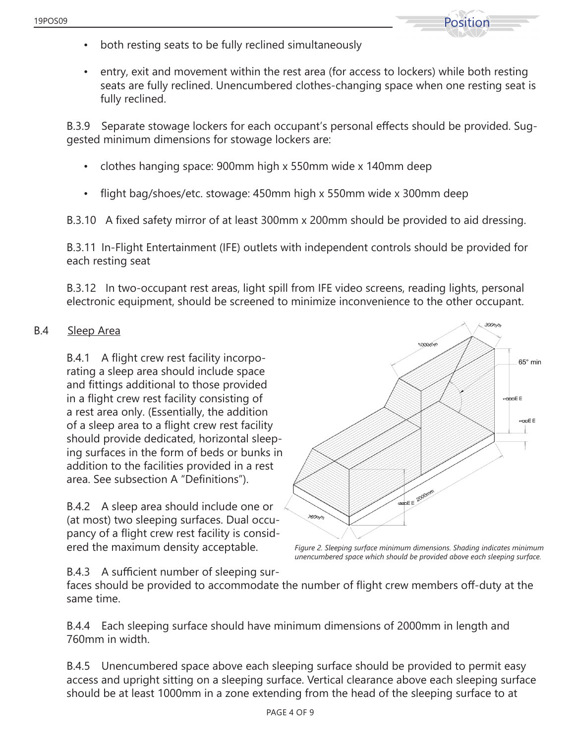

- both resting seats to be fully reclined simultaneously
- entry, exit and movement within the rest area (for access to lockers) while both resting seats are fully reclined. Unencumbered clothes-changing space when one resting seat is fully reclined.

B.3.9 Separate stowage lockers for each occupant's personal effects should be provided. Suggested minimum dimensions for stowage lockers are:

- clothes hanging space: 900mm high x 550mm wide x 140mm deep
- flight bag/shoes/etc. stowage: 450mm high x 550mm wide x 300mm deep

B.3.10 A fixed safety mirror of at least 300mm x 200mm should be provided to aid dressing.

B.3.11 In-Flight Entertainment (IFE) outlets with independent controls should be provided for each resting seat

B.3.12 In two-occupant rest areas, light spill from IFE video screens, reading lights, personal electronic equipment, should be screened to minimize inconvenience to the other occupant.

# B.4 Sleep Area

B.4.1 A flight crew rest facility incorporating a sleep area should include space and fittings additional to those provided in a flight crew rest facility consisting of a rest area only. (Essentially, the addition of a sleep area to a flight crew rest facility should provide dedicated, horizontal sleeping surfaces in the form of beds or bunks in addition to the facilities provided in a rest area. See subsection A "Definitions").

B.4.2 A sleep area should include one or (at most) two sleeping surfaces. Dual occupancy of a flight crew rest facility is considered the maximum density acceptable. *Figure 2. Sleeping surface minimum dimensions. Shading indicates minimum* 



*unencumbered space which should be provided above each sleeping surface.* 

B.4.3 A sufficient number of sleeping sur-

faces should be provided to accommodate the number of flight crew members off-duty at the same time.

B.4.4 Each sleeping surface should have minimum dimensions of 2000mm in length and 760mm in width.

B.4.5 Unencumbered space above each sleeping surface should be provided to permit easy access and upright sitting on a sleeping surface. Vertical clearance above each sleeping surface should be at least 1000mm in a zone extending from the head of the sleeping surface to at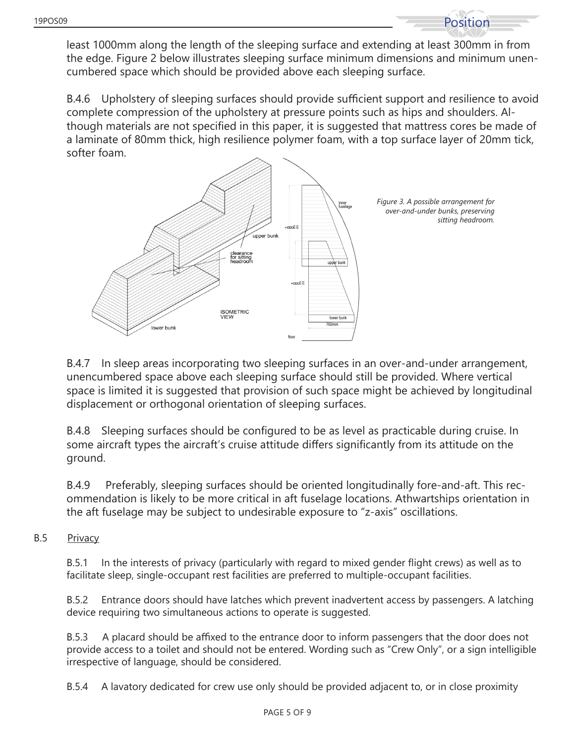least 1000mm along the length of the sleeping surface and extending at least 300mm in from the edge. Figure 2 below illustrates sleeping surface minimum dimensions and minimum unencumbered space which should be provided above each sleeping surface.

B.4.6 Upholstery of sleeping surfaces should provide sufficient support and resilience to avoid complete compression of the upholstery at pressure points such as hips and shoulders. Although materials are not specified in this paper, it is suggested that mattress cores be made of a laminate of 80mm thick, high resilience polymer foam, with a top surface layer of 20mm tick, softer foam.



B.4.7 In sleep areas incorporating two sleeping surfaces in an over-and-under arrangement, unencumbered space above each sleeping surface should still be provided. Where vertical space is limited it is suggested that provision of such space might be achieved by longitudinal displacement or orthogonal orientation of sleeping surfaces.

B.4.8 Sleeping surfaces should be configured to be as level as practicable during cruise. In some aircraft types the aircraft's cruise attitude differs significantly from its attitude on the ground.

B.4.9 Preferably, sleeping surfaces should be oriented longitudinally fore-and-aft. This recommendation is likely to be more critical in aft fuselage locations. Athwartships orientation in the aft fuselage may be subject to undesirable exposure to "z-axis" oscillations.

B.5 Privacy

B.5.1 In the interests of privacy (particularly with regard to mixed gender flight crews) as well as to facilitate sleep, single-occupant rest facilities are preferred to multiple-occupant facilities.

B.5.2 Entrance doors should have latches which prevent inadvertent access by passengers. A latching device requiring two simultaneous actions to operate is suggested.

B.5.3 A placard should be affixed to the entrance door to inform passengers that the door does not provide access to a toilet and should not be entered. Wording such as "Crew Only", or a sign intelligible irrespective of language, should be considered.

B.5.4 A lavatory dedicated for crew use only should be provided adjacent to, or in close proximity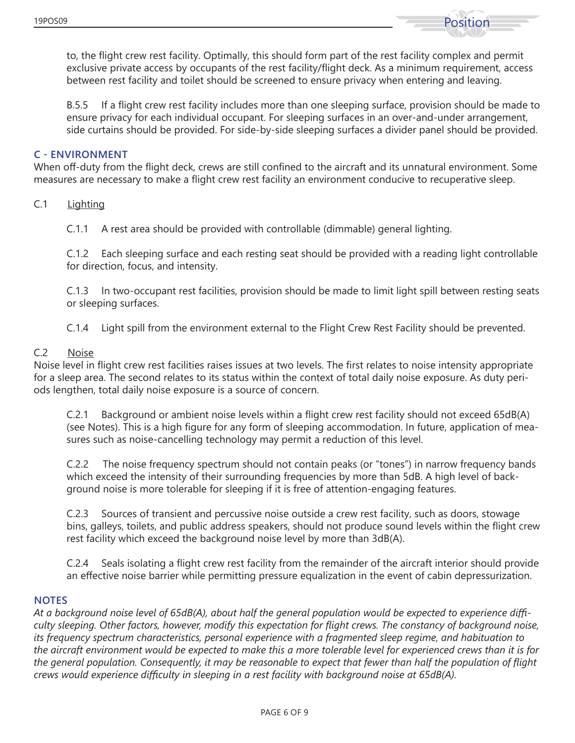

to, the flight crew rest facility. Optimally, this should form part of the rest facility complex and permit exclusive private access by occupants of the rest facility/flight deck. As a minimum requirement, access between rest facility and toilet should be screened to ensure privacy when entering and leaving.

B.5.5 If a flight crew rest facility includes more than one sleeping surface, provision should be made to ensure privacy for each individual occupant. For sleeping surfaces in an over-and-under arrangement, side curtains should be provided. For side-by-side sleeping surfaces a divider panel should be provided.

#### **C - ENVIRONMENT**

When off-duty from the flight deck, crews are still confined to the aircraft and its unnatural environment. Some measures are necessary to make a flight crew rest facility an environment conducive to recuperative sleep.

C.1 Lighting

C.1.1 A rest area should be provided with controllable (dimmable) general lighting.

C.1.2 Each sleeping surface and each resting seat should be provided with a reading light controllable for direction, focus, and intensity.

C.1.3 In two-occupant rest facilities, provision should be made to limit light spill between resting seats or sleeping surfaces.

C.1.4 Light spill from the environment external to the Flight Crew Rest Facility should be prevented.

#### C.2 Noise

Noise level in flight crew rest facilities raises issues at two levels. The first relates to noise intensity appropriate for a sleep area. The second relates to its status within the context of total daily noise exposure. As duty periods lengthen, total daily noise exposure is a source of concern.

C.2.1 Background or ambient noise levels within a flight crew rest facility should not exceed 65dB(A) (see Notes). This is a high figure for any form of sleeping accommodation. In future, application of measures such as noise-cancelling technology may permit a reduction of this level.

C.2.2 The noise frequency spectrum should not contain peaks (or "tones") in narrow frequency bands which exceed the intensity of their surrounding frequencies by more than 5dB. A high level of background noise is more tolerable for sleeping if it is free of attention-engaging features.

C.2.3 Sources of transient and percussive noise outside a crew rest facility, such as doors, stowage bins, galleys, toilets, and public address speakers, should not produce sound levels within the flight crew rest facility which exceed the background noise level by more than 3dB(A).

C.2.4 Seals isolating a flight crew rest facility from the remainder of the aircraft interior should provide an effective noise barrier while permitting pressure equalization in the event of cabin depressurization.

#### **NOTES**

*At a background noise level of 65dB(A), about half the general population would be expected to experience difficulty sleeping. Other factors, however, modify this expectation for flight crews. The constancy of background noise, its frequency spectrum characteristics, personal experience with a fragmented sleep regime, and habituation to the aircraft environment would be expected to make this a more tolerable level for experienced crews than it is for the general population. Consequently, it may be reasonable to expect that fewer than half the population of flight crews would experience difficulty in sleeping in a rest facility with background noise at 65dB(A).*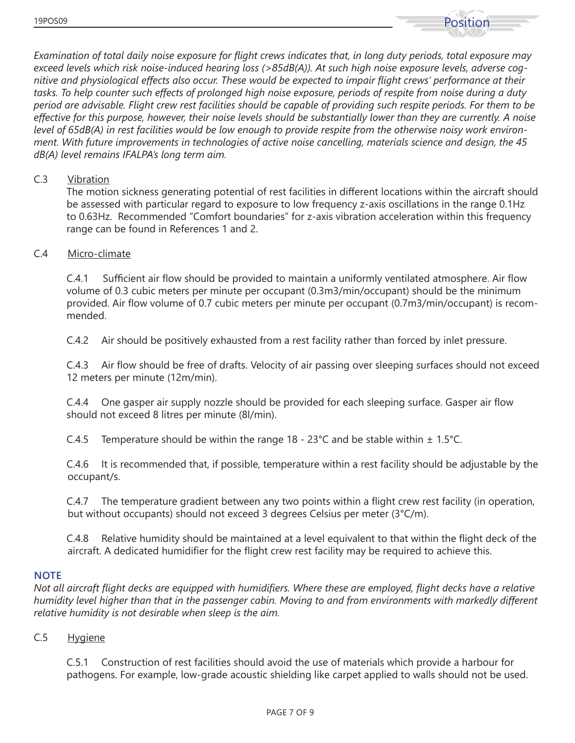

*Examination of total daily noise exposure for flight crews indicates that, in long duty periods, total exposure may exceed levels which risk noise-induced hearing loss (>85dB(A)). At such high noise exposure levels, adverse cognitive and physiological effects also occur. These would be expected to impair flight crews' performance at their tasks. To help counter such effects of prolonged high noise exposure, periods of respite from noise during a duty period are advisable. Flight crew rest facilities should be capable of providing such respite periods. For them to be effective for this purpose, however, their noise levels should be substantially lower than they are currently. A noise level of 65dB(A) in rest facilities would be low enough to provide respite from the otherwise noisy work environment. With future improvements in technologies of active noise cancelling, materials science and design, the 45 dB(A) level remains IFALPA's long term aim.*

#### C.3 Vibration

The motion sickness generating potential of rest facilities in different locations within the aircraft should be assessed with particular regard to exposure to low frequency z-axis oscillations in the range 0.1Hz to 0.63Hz. Recommended "Comfort boundaries" for z-axis vibration acceleration within this frequency range can be found in References 1 and 2.

### C.4 Micro-climate

C.4.1 Sufficient air flow should be provided to maintain a uniformly ventilated atmosphere. Air flow volume of 0.3 cubic meters per minute per occupant (0.3m3/min/occupant) should be the minimum provided. Air flow volume of 0.7 cubic meters per minute per occupant (0.7m3/min/occupant) is recommended.

C.4.2 Air should be positively exhausted from a rest facility rather than forced by inlet pressure.

C.4.3 Air flow should be free of drafts. Velocity of air passing over sleeping surfaces should not exceed 12 meters per minute (12m/min).

C.4.4 One gasper air supply nozzle should be provided for each sleeping surface. Gasper air flow should not exceed 8 litres per minute (8l/min).

C.4.5 Temperature should be within the range 18 - 23<sup>°</sup>C and be stable within  $\pm$  1.5<sup>°</sup>C.

C.4.6 It is recommended that, if possible, temperature within a rest facility should be adjustable by the occupant/s.

C.4.7 The temperature gradient between any two points within a flight crew rest facility (in operation, but without occupants) should not exceed 3 degrees Celsius per meter (3°C/m).

C.4.8 Relative humidity should be maintained at a level equivalent to that within the flight deck of the aircraft. A dedicated humidifier for the flight crew rest facility may be required to achieve this.

#### **NOTE**

*Not all aircraft flight decks are equipped with humidifiers. Where these are employed, flight decks have a relative humidity level higher than that in the passenger cabin. Moving to and from environments with markedly different relative humidity is not desirable when sleep is the aim.*

#### C.5 Hygiene

C.5.1 Construction of rest facilities should avoid the use of materials which provide a harbour for pathogens. For example, low-grade acoustic shielding like carpet applied to walls should not be used.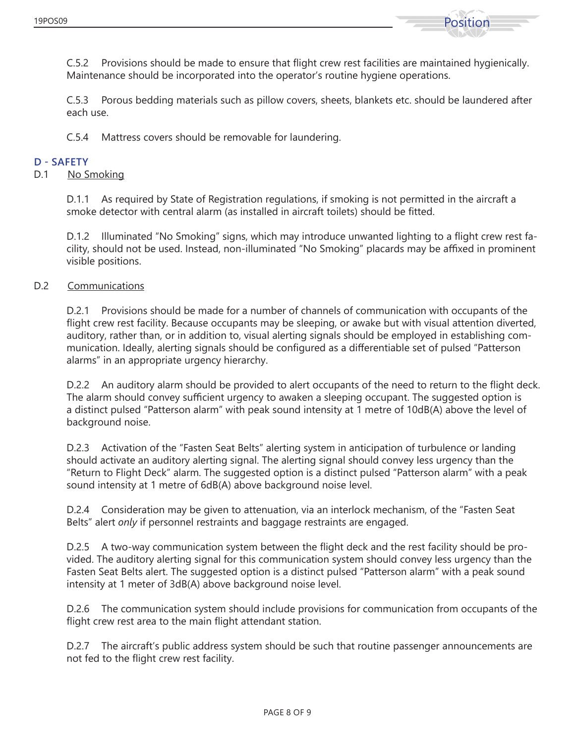

C.5.2 Provisions should be made to ensure that flight crew rest facilities are maintained hygienically. Maintenance should be incorporated into the operator's routine hygiene operations.

C.5.3 Porous bedding materials such as pillow covers, sheets, blankets etc. should be laundered after each use.

C.5.4 Mattress covers should be removable for laundering.

#### **D - SAFETY**

#### D.1 No Smoking

D.1.1 As required by State of Registration regulations, if smoking is not permitted in the aircraft a smoke detector with central alarm (as installed in aircraft toilets) should be fitted.

D.1.2 Illuminated "No Smoking" signs, which may introduce unwanted lighting to a flight crew rest facility, should not be used. Instead, non-illuminated "No Smoking" placards may be affixed in prominent visible positions.

#### D.2 Communications

D.2.1 Provisions should be made for a number of channels of communication with occupants of the flight crew rest facility. Because occupants may be sleeping, or awake but with visual attention diverted, auditory, rather than, or in addition to, visual alerting signals should be employed in establishing communication. Ideally, alerting signals should be configured as a differentiable set of pulsed "Patterson alarms" in an appropriate urgency hierarchy.

D.2.2 An auditory alarm should be provided to alert occupants of the need to return to the flight deck. The alarm should convey sufficient urgency to awaken a sleeping occupant. The suggested option is a distinct pulsed "Patterson alarm" with peak sound intensity at 1 metre of 10dB(A) above the level of background noise.

D.2.3 Activation of the "Fasten Seat Belts" alerting system in anticipation of turbulence or landing should activate an auditory alerting signal. The alerting signal should convey less urgency than the "Return to Flight Deck" alarm. The suggested option is a distinct pulsed "Patterson alarm" with a peak sound intensity at 1 metre of 6dB(A) above background noise level.

D.2.4 Consideration may be given to attenuation, via an interlock mechanism, of the "Fasten Seat Belts" alert *only* if personnel restraints and baggage restraints are engaged.

D.2.5 A two-way communication system between the flight deck and the rest facility should be provided. The auditory alerting signal for this communication system should convey less urgency than the Fasten Seat Belts alert. The suggested option is a distinct pulsed "Patterson alarm" with a peak sound intensity at 1 meter of 3dB(A) above background noise level.

D.2.6 The communication system should include provisions for communication from occupants of the flight crew rest area to the main flight attendant station.

D.2.7 The aircraft's public address system should be such that routine passenger announcements are not fed to the flight crew rest facility.